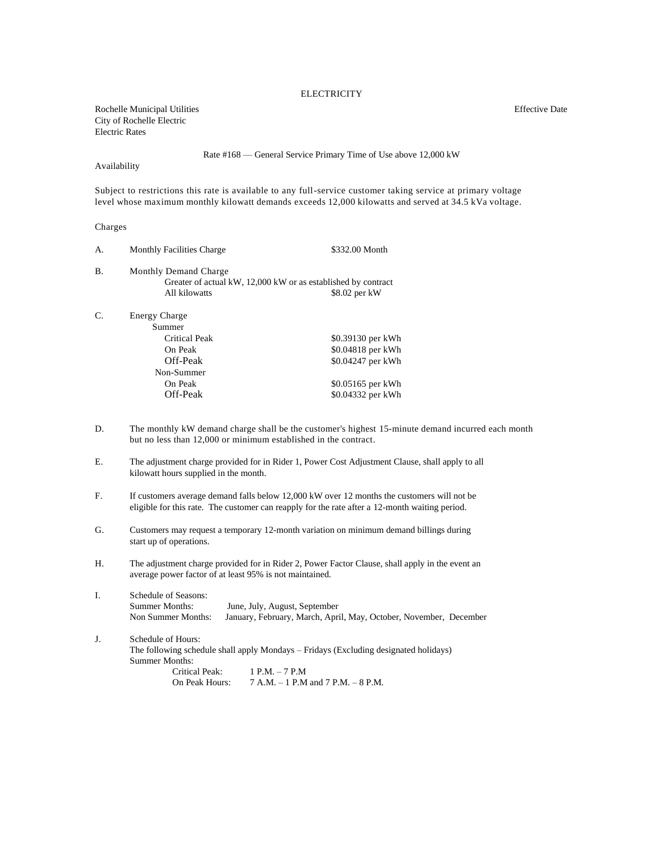## **ELECTRICITY**

Rochelle Municipal Utilities **Effective Date** Effective Date City of Rochelle Electric Electric Rates

Rate #168 — General Service Primary Time of Use above 12,000 kW

Availability

Subject to restrictions this rate is available to any full-service customer taking service at primary voltage level whose maximum monthly kilowatt demands exceeds 12,000 kilowatts and served at 34.5 kVa voltage.

## Charges

| А. | <b>Monthly Facilities Charge</b>                              | \$332.00 Month    |
|----|---------------------------------------------------------------|-------------------|
| В. | Monthly Demand Charge                                         |                   |
|    | Greater of actual kW, 12,000 kW or as established by contract |                   |
|    | All kilowatts                                                 | \$8.02 per kW     |
| C. | <b>Energy Charge</b>                                          |                   |
|    | Summer                                                        |                   |
|    | Critical Peak                                                 | \$0.39130 per kWh |
|    | On Peak                                                       | \$0.04818 per kWh |
|    | Off-Peak                                                      | \$0.04247 per kWh |
|    | Non-Summer                                                    |                   |
|    | On Peak                                                       | \$0.05165 per kWh |
|    | Off-Peak                                                      | \$0.04332 per kWh |
|    |                                                               |                   |

- D. The monthly kW demand charge shall be the customer's highest 15-minute demand incurred each month but no less than 12,000 or minimum established in the contract.
- E. The adjustment charge provided for in Rider 1, Power Cost Adjustment Clause, shall apply to all kilowatt hours supplied in the month.
- F. If customers average demand falls below 12,000 kW over 12 months the customers will not be eligible for this rate. The customer can reapply for the rate after a 12-month waiting period.
- G. Customers may request a temporary 12-month variation on minimum demand billings during start up of operations.
- H. The adjustment charge provided for in Rider 2, Power Factor Clause, shall apply in the event an average power factor of at least 95% is not maintained.
- I. Schedule of Seasons: Summer Months: June, July, August, September Non Summer Months: January, February, March, April, May, October, November, December
- J. Schedule of Hours: The following schedule shall apply Mondays – Fridays (Excluding designated holidays) Summer Months: Critical Peak: 1 P.M. – 7 P.M On Peak Hours: 7 A.M. – 1 P.M and 7 P.M. – 8 P.M.